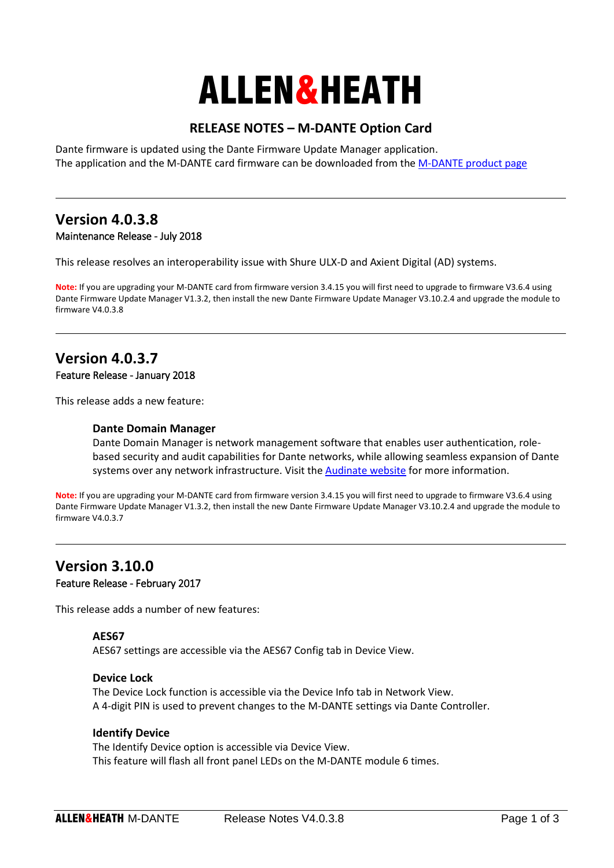# ALLEN&HEATH

## **RELEASE NOTES – M-DANTE Option Card**

Dante firmware is updated using the Dante Firmware Update Manager application. The application and the M-DANTE card firmware can be downloaded from th[e M-DANTE product page](http://www.allen-heath.com/ahproducts/dante/)

### **Version 4.0.3.8** Maintenance Release - July 2018

This release resolves an interoperability issue with Shure ULX-D and Axient Digital (AD) systems.

**Note:** If you are upgrading your M-DANTE card from firmware version 3.4.15 you will first need to upgrade to firmware V3.6.4 using Dante Firmware Update Manager V1.3.2, then install the new Dante Firmware Update Manager V3.10.2.4 and upgrade the module to firmware V4.0.3.8

## **Version 4.0.3.7**

#### Feature Release - January 2018

This release adds a new feature:

#### **Dante Domain Manager**

Dante Domain Manager is network management software that enables user authentication, rolebased security and audit capabilities for Dante networks, while allowing seamless expansion of Dante systems over any network infrastructure. Visit th[e Audinate website](https://www.audinate.com/products/software/dante-domain-manager) for more information.

**Note:** If you are upgrading your M-DANTE card from firmware version 3.4.15 you will first need to upgrade to firmware V3.6.4 using Dante Firmware Update Manager V1.3.2, then install the new Dante Firmware Update Manager V3.10.2.4 and upgrade the module to firmware V4.0.3.7

## **Version 3.10.0** Feature Release - February 2017

This release adds a number of new features:

#### **AES67**

AES67 settings are accessible via the AES67 Config tab in Device View.

#### **Device Lock**

The Device Lock function is accessible via the Device Info tab in Network View. A 4-digit PIN is used to prevent changes to the M-DANTE settings via Dante Controller.

#### **Identify Device**

The Identify Device option is accessible via Device View. This feature will flash all front panel LEDs on the M-DANTE module 6 times.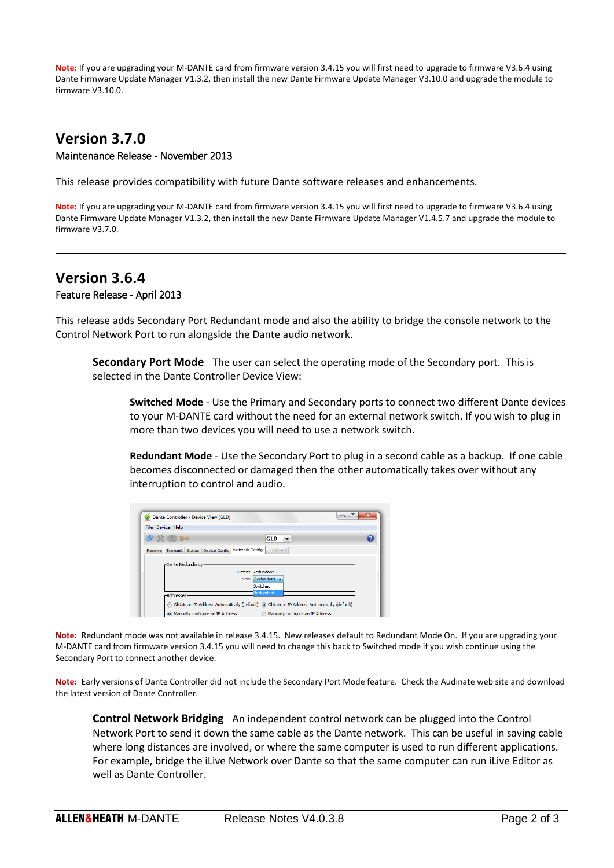**Note:** If you are upgrading your M-DANTE card from firmware version 3.4.15 you will first need to upgrade to firmware V3.6.4 using Dante Firmware Update Manager V1.3.2, then install the new Dante Firmware Update Manager V3.10.0 and upgrade the module to firmware V3.10.0.

## **Version 3.7.0** Maintenance Release - November 2013

This release provides compatibility with future Dante software releases and enhancements.

**Note:** If you are upgrading your M-DANTE card from firmware version 3.4.15 you will first need to upgrade to firmware V3.6.4 using Dante Firmware Update Manager V1.3.2, then install the new Dante Firmware Update Manager V1.4.5.7 and upgrade the module to firmware V3.7.0.

## **Version 3.6.4** Feature Release - April 2013

This release adds Secondary Port Redundant mode and also the ability to bridge the console network to the Control Network Port to run alongside the Dante audio network.

**Secondary Port Mode** The user can select the operating mode of the Secondary port. This is selected in the Dante Controller Device View:

**Switched Mode** - Use the Primary and Secondary ports to connect two different Dante devices to your M-DANTE card without the need for an external network switch. If you wish to plug in more than two devices you will need to use a network switch.

**Redundant Mode** - Use the Secondary Port to plug in a second cable as a backup. If one cable becomes disconnected or damaged then the other automatically takes over without any interruption to control and audio.

|            | <b>File Device Help</b>                                                  |  |                              |                            |  |
|------------|--------------------------------------------------------------------------|--|------------------------------|----------------------------|--|
| ෙ බංග<br>鸬 |                                                                          |  |                              | <b>GLD</b><br>$\mathbf{r}$ |  |
|            | Receive   Transmit   Status   Device Config   Network Config   Baseboard |  |                              |                            |  |
|            | -Dante Redundancy                                                        |  |                              |                            |  |
|            |                                                                          |  | Current: Redundant           |                            |  |
|            |                                                                          |  |                              |                            |  |
|            |                                                                          |  | New: Redundant               |                            |  |
|            |                                                                          |  | <b>Switched</b><br>Redundant |                            |  |

**Note:** Redundant mode was not available in release 3.4.15. New releases default to Redundant Mode On. If you are upgrading your M-DANTE card from firmware version 3.4.15 you will need to change this back to Switched mode if you wish continue using the Secondary Port to connect another device.

**Note:** Early versions of Dante Controller did not include the Secondary Port Mode feature. Check the Audinate web site and download the latest version of Dante Controller.

**Control Network Bridging** An independent control network can be plugged into the Control Network Port to send it down the same cable as the Dante network. This can be useful in saving cable where long distances are involved, or where the same computer is used to run different applications. For example, bridge the iLive Network over Dante so that the same computer can run iLive Editor as well as Dante Controller.